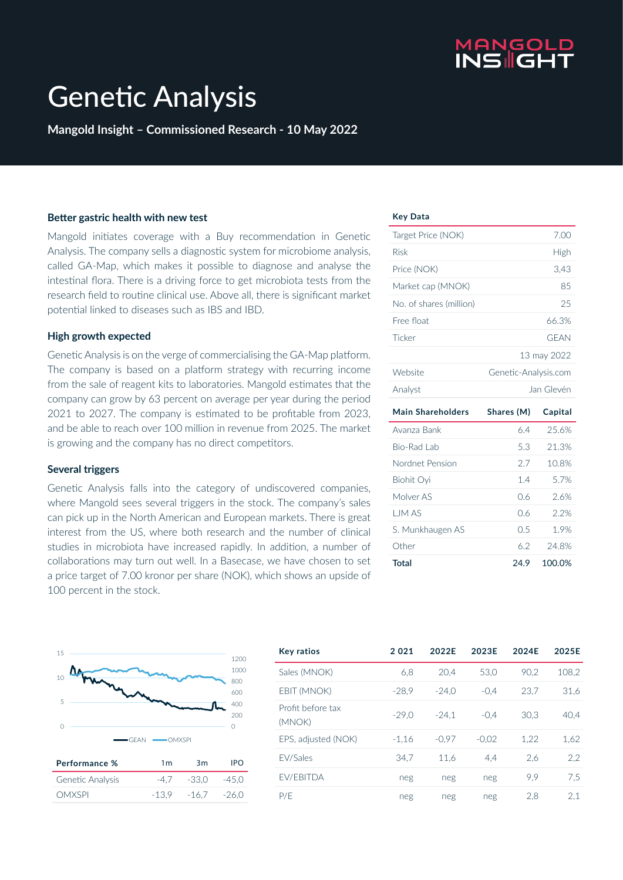

# Genetic Analysis

**Mangold Insight – Commissioned Research - 10 May 2022**

#### **Better gastric health with new test**

Mangold initiates coverage with a Buy recommendation in Genetic Analysis. The company sells a diagnostic system for microbiome analysis, called GA-Map, which makes it possible to diagnose and analyse the intestinal flora. There is a driving force to get microbiota tests from the research field to routine clinical use. Above all, there is significant market potential linked to diseases such as IBS and IBD.

#### **High growth expected**

Genetic Analysis is on the verge of commercialising the GA-Map platform. The company is based on a platform strategy with recurring income from the sale of reagent kits to laboratories. Mangold estimates that the company can grow by 63 percent on average per year during the period 2021 to 2027. The company is estimated to be profitable from 2023, and be able to reach over 100 million in revenue from 2025. The market is growing and the company has no direct competitors.

#### **Several triggers**

Genetic Analysis falls into the category of undiscovered companies, where Mangold sees several triggers in the stock. The company's sales can pick up in the North American and European markets. There is great interest from the US, where both research and the number of clinical studies in microbiota have increased rapidly. In addition, a number of collaborations may turn out well. In a Basecase, we have chosen to set a price target of 7.00 kronor per share (NOK), which shows an upside of 100 percent in the stock.

#### **Key Data**

| Target Price (NOK)       |                       | 7.00        |  |  |
|--------------------------|-----------------------|-------------|--|--|
| Risk                     |                       | High        |  |  |
| Price (NOK)              |                       | 3.43        |  |  |
| Market cap (MNOK)        |                       | 85          |  |  |
| No. of shares (million)  |                       | 25          |  |  |
| Free float               |                       | 66.3%       |  |  |
| Ticker                   |                       | <b>GFAN</b> |  |  |
|                          |                       | 13 may 2022 |  |  |
| Website                  | Genetic-Analysis.com  |             |  |  |
| Analyst                  | Jan Glevén            |             |  |  |
| <b>Main Shareholders</b> | Shares (M)<br>Capital |             |  |  |
| Avanza Bank              | 64                    | 25.6%       |  |  |
| Bio-Rad Lab              | 5.3                   |             |  |  |
|                          |                       | 21.3%       |  |  |
| Nordnet Pension          | 2.7                   | 10.8%       |  |  |
| <b>Biohit Oyi</b>        | 1.4                   | 5.7%        |  |  |
| Molver AS                | 06                    | 2.6%        |  |  |
| LJM AS                   | 06                    | 2.2%        |  |  |
| S. Munkhaugen AS         | 0.5                   | 1.9%        |  |  |
| Other                    | 6.2                   | 24.8%       |  |  |



OMXSPI -13,9 -16,7 -26,0

| Key ratios                  | 2021    | 2022E   | 2023E   | 2024E | 2025E |
|-----------------------------|---------|---------|---------|-------|-------|
| Sales (MNOK)                | 6,8     | 20.4    | 53.0    | 90.2  | 108,2 |
| <b>EBIT (MNOK)</b>          | $-28.9$ | $-24.0$ | $-0.4$  | 23.7  | 31.6  |
| Profit before tax<br>(MNOK) | $-29.0$ | $-24.1$ | $-0.4$  | 30.3  | 40.4  |
| EPS, adjusted (NOK)         | $-1.16$ | $-0.97$ | $-0.02$ | 1.22  | 1.62  |
| EV/Sales                    | 34.7    | 11.6    | 4.4     | 2.6   | 2,2   |
| <b>EV/EBITDA</b>            | neg     | neg     | neg     | 9.9   | 7.5   |
| P/F                         | neg     | neg     | neg     | 2,8   | 2,1   |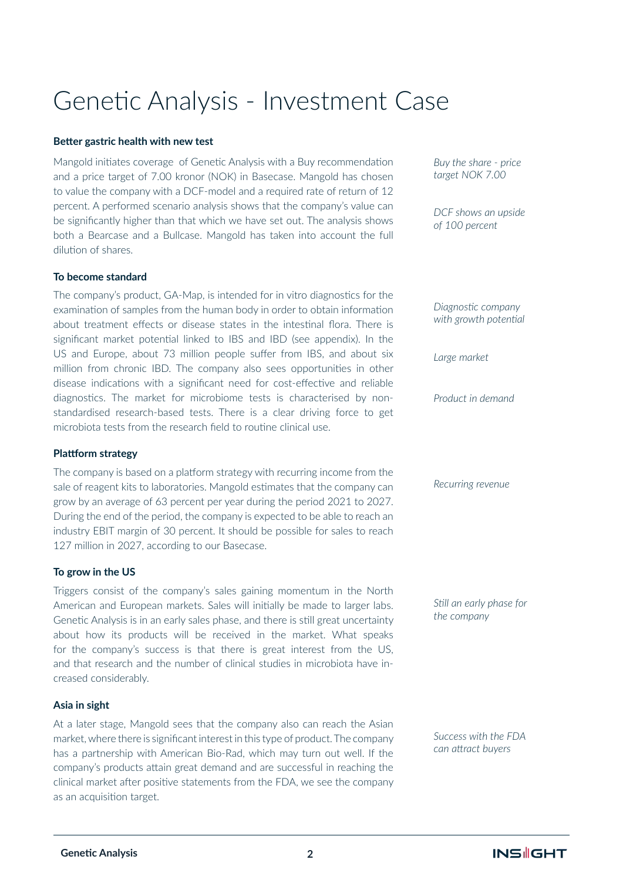### Genetic Analysis - Investment Case

### **Better gastric health with new test**

Mangold initiates coverage of Genetic Analysis with a Buy recommendation and a price target of 7.00 kronor (NOK) in Basecase. Mangold has chosen to value the company with a DCF-model and a required rate of return of 12 percent. A performed scenario analysis shows that the company's value can be significantly higher than that which we have set out. The analysis shows both a Bearcase and a Bullcase. Mangold has taken into account the full dilution of shares.

### **To become standard**

The company's product, GA-Map, is intended for in vitro diagnostics for the examination of samples from the human body in order to obtain information about treatment effects or disease states in the intestinal flora. There is significant market potential linked to IBS and IBD (see appendix). In the US and Europe, about 73 million people suffer from IBS, and about six million from chronic IBD. The company also sees opportunities in other disease indications with a significant need for cost-effective and reliable diagnostics. The market for microbiome tests is characterised by nonstandardised research-based tests. There is a clear driving force to get microbiota tests from the research field to routine clinical use.

#### **Plattform strategy**

The company is based on a platform strategy with recurring income from the sale of reagent kits to laboratories. Mangold estimates that the company can grow by an average of 63 percent per year during the period 2021 to 2027. During the end of the period, the company is expected to be able to reach an industry EBIT margin of 30 percent. It should be possible for sales to reach 127 million in 2027, according to our Basecase.

### **To grow in the US**

Triggers consist of the company's sales gaining momentum in the North American and European markets. Sales will initially be made to larger labs. Genetic Analysis is in an early sales phase, and there is still great uncertainty about how its products will be received in the market. What speaks for the company's success is that there is great interest from the US, and that research and the number of clinical studies in microbiota have increased considerably.

### **Asia in sight**

At a later stage, Mangold sees that the company also can reach the Asian market, where there is significant interest in this type of product. The company has a partnership with American Bio-Rad, which may turn out well. If the company's products attain great demand and are successful in reaching the clinical market after positive statements from the FDA, we see the company as an acquisition target.

*Buy the share - price target NOK 7.00*

*DCF shows an upside of 100 percent*

*Diagnostic company with growth potential*

*Large market*

*Product in demand* 

*Recurring revenue* 

*Still an early phase for the company*

*Success with the FDA can attract buyers*

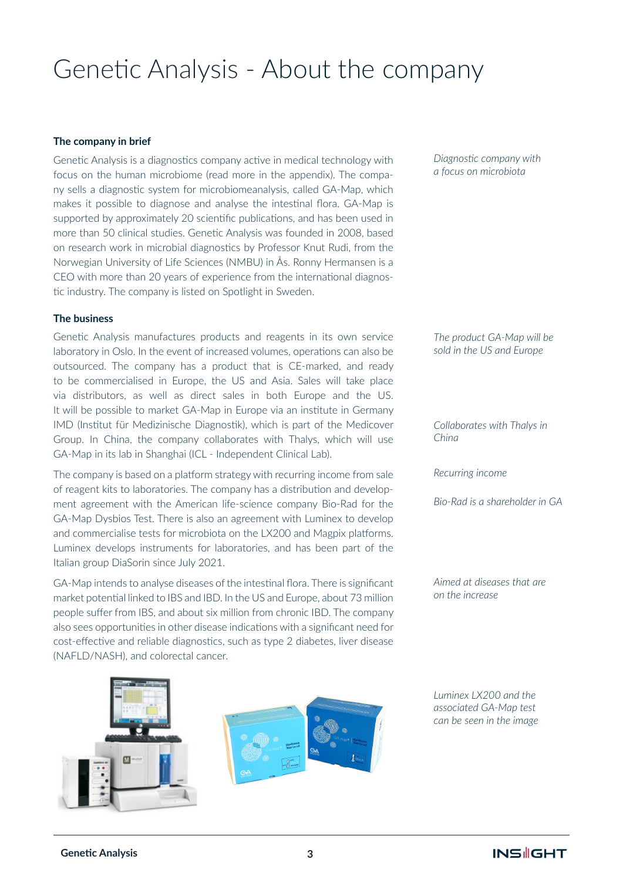### Genetic Analysis - About the company

### **The company in brief**

Genetic Analysis is a diagnostics company active in medical technology with focus on the human microbiome (read more in the appendix). The company sells a diagnostic system for microbiomeanalysis, called GA-Map, which makes it possible to diagnose and analyse the intestinal flora. GA-Map is supported by approximately 20 scientific publications, and has been used in more than 50 clinical studies. Genetic Analysis was founded in 2008, based on research work in microbial diagnostics by Professor Knut Rudi, from the Norwegian University of Life Sciences (NMBU) in Ås. Ronny Hermansen is a CEO with more than 20 years of experience from the international diagnostic industry. The company is listed on Spotlight in Sweden.

### **The business**

Genetic Analysis manufactures products and reagents in its own service laboratory in Oslo. In the event of increased volumes, operations can also be outsourced. The company has a product that is CE-marked, and ready to be commercialised in Europe, the US and Asia. Sales will take place via distributors, as well as direct sales in both Europe and the US. It will be possible to market GA-Map in Europe via an institute in Germany IMD (Institut für Medizinische Diagnostik), which is part of the Medicover Group. In China, the company collaborates with Thalys, which will use GA-Map in its lab in Shanghai (ICL - Independent Clinical Lab).

The company is based on a platform strategy with recurring income from sale of reagent kits to laboratories. The company has a distribution and development agreement with the American life-science company Bio-Rad for the GA-Map Dysbios Test. There is also an agreement with Luminex to develop and commercialise tests for microbiota on the LX200 and Magpix platforms. Luminex develops instruments for laboratories, and has been part of the Italian group DiaSorin since July 2021.

GA-Map intends to analyse diseases of the intestinal flora. There is significant market potential linked to IBS and IBD. In the US and Europe, about 73 million people suffer from IBS, and about six million from chronic IBD. The company also sees opportunities in other disease indications with a significant need for cost-effective and reliable diagnostics, such as type 2 diabetes, liver disease (NAFLD/NASH), and colorectal cancer.



*Diagnostic company with a focus on microbiota*

*The product GA-Map will be sold in the US and Europe*

*Collaborates with Thalys in China*

*Recurring income* 

*Bio-Rad is a shareholder in GA*

*Aimed at diseases that are on the increase*

*Luminex LX200 and the associated GA-Map test can be seen in the image*

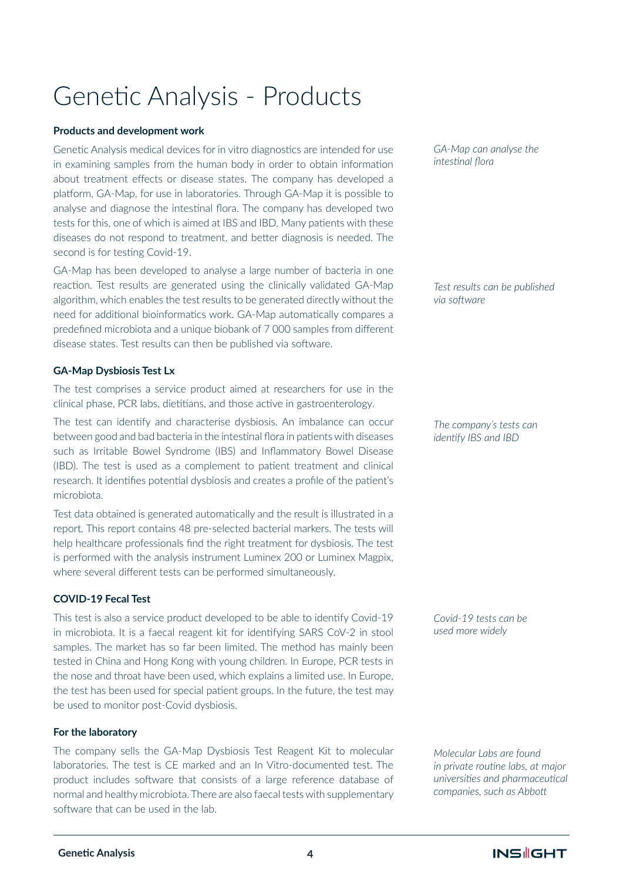## Genetic Analysis - Products

### **Products and development work**

Genetic Analysis medical devices for in vitro diagnostics are intended for use in examining samples from the human body in order to obtain information about treatment effects or disease states. The company has developed a platform, GA-Map, for use in laboratories. Through GA-Map it is possible to analyse and diagnose the intestinal flora. The company has developed two tests for this, one of which is aimed at IBS and IBD. Many patients with these diseases do not respond to treatment, and better diagnosis is needed. The second is for testing Covid-19.

GA-Map has been developed to analyse a large number of bacteria in one reaction. Test results are generated using the clinically validated GA-Map algorithm, which enables the test results to be generated directly without the need for additional bioinformatics work. GA-Map automatically compares a predefined microbiota and a unique biobank of 7 000 samples from different disease states. Test results can then be published via software.

### **GA-Map Dysbiosis Test Lx**

The test comprises a service product aimed at researchers for use in the clinical phase, PCR labs, dietitians, and those active in gastroenterology.

The test can identify and characterise dysbiosis. An imbalance can occur between good and bad bacteria in the intestinal flora in patients with diseases such as Irritable Bowel Syndrome (IBS) and Inflammatory Bowel Disease (IBD). The test is used as a complement to patient treatment and clinical research. It identifies potential dysbiosis and creates a profile of the patient's microbiota.

Test data obtained is generated automatically and the result is illustrated in a report. This report contains 48 pre-selected bacterial markers. The tests will help healthcare professionals find the right treatment for dysbiosis. The test is performed with the analysis instrument Luminex 200 or Luminex Magpix, where several different tests can be performed simultaneously.

### **COVID-19 Fecal Test**

This test is also a service product developed to be able to identify Covid-19 in microbiota. It is a faecal reagent kit for identifying SARS CoV-2 in stool samples. The market has so far been limited. The method has mainly been tested in China and Hong Kong with young children. In Europe, PCR tests in the nose and throat have been used, which explains a limited use. In Europe, the test has been used for special patient groups. In the future, the test may be used to monitor post-Covid dysbiosis.

### **For the laboratory**

The company sells the GA-Map Dysbiosis Test Reagent Kit to molecular laboratories. The test is CE marked and an In Vitro-documented test. The product includes software that consists of a large reference database of normal and healthy microbiota. There are also faecal tests with supplementary software that can be used in the lab.

*GA-Map can analyse the intestinal flora*

*Test results can be published via software*

*The company's tests can identify IBS and IBD*

*Covid-19 tests can be used more widely*

*Molecular Labs are found in private routine labs, at major universities and pharmaceutical companies, such as Abbott*

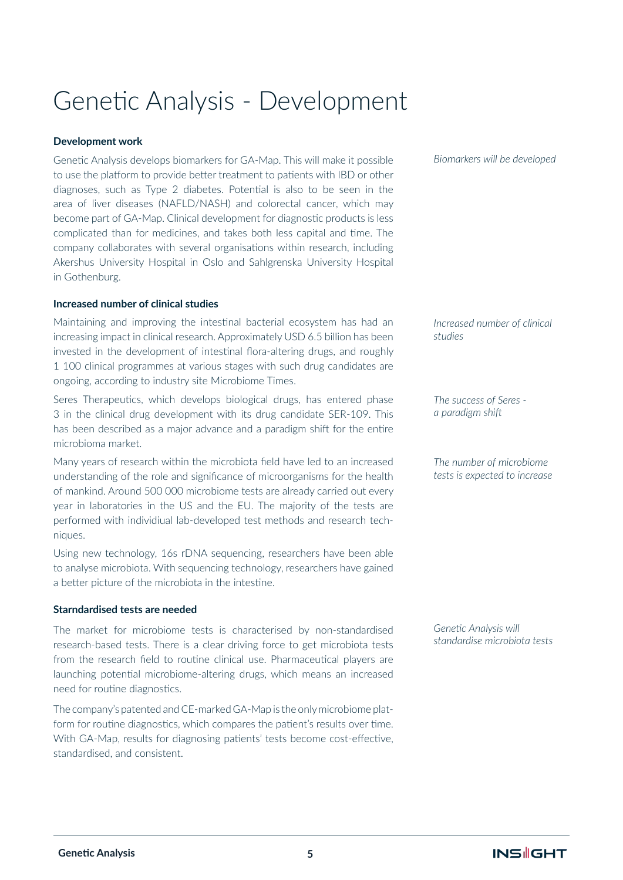### Genetic Analysis - Development

### **Development work**

Genetic Analysis develops biomarkers for GA-Map. This will make it possible to use the platform to provide better treatment to patients with IBD or other diagnoses, such as Type 2 diabetes. Potential is also to be seen in the area of liver diseases (NAFLD/NASH) and colorectal cancer, which may become part of GA-Map. Clinical development for diagnostic products is less complicated than for medicines, and takes both less capital and time. The company collaborates with several organisations within research, including Akershus University Hospital in Oslo and Sahlgrenska University Hospital in Gothenburg.

### **Increased number of clinical studies**

Maintaining and improving the intestinal bacterial ecosystem has had an increasing impact in clinical research. Approximately USD 6.5 billion has been invested in the development of intestinal flora-altering drugs, and roughly 1 100 clinical programmes at various stages with such drug candidates are ongoing, according to industry site Microbiome Times.

Seres Therapeutics, which develops biological drugs, has entered phase 3 in the clinical drug development with its drug candidate SER-109. This has been described as a major advance and a paradigm shift for the entire microbioma market.

Many years of research within the microbiota field have led to an increased understanding of the role and significance of microorganisms for the health of mankind. Around 500 000 microbiome tests are already carried out every year in laboratories in the US and the EU. The majority of the tests are performed with individiual lab-developed test methods and research techniques.

Using new technology, 16s rDNA sequencing, researchers have been able to analyse microbiota. With sequencing technology, researchers have gained a better picture of the microbiota in the intestine.

### **Starndardised tests are needed**

The market for microbiome tests is characterised by non-standardised research-based tests. There is a clear driving force to get microbiota tests from the research field to routine clinical use. Pharmaceutical players are launching potential microbiome-altering drugs, which means an increased need for routine diagnostics.

The company's patented and CE-marked GA-Map is the only microbiome platform for routine diagnostics, which compares the patient's results over time. With GA-Map, results for diagnosing patients' tests become cost-effective, standardised, and consistent.

*Biomarkers will be developed*

*Increased number of clinical studies*

*The success of Seres a paradigm shift*

*The number of microbiome tests is expected to increase*

*Genetic Analysis will standardise microbiota tests*

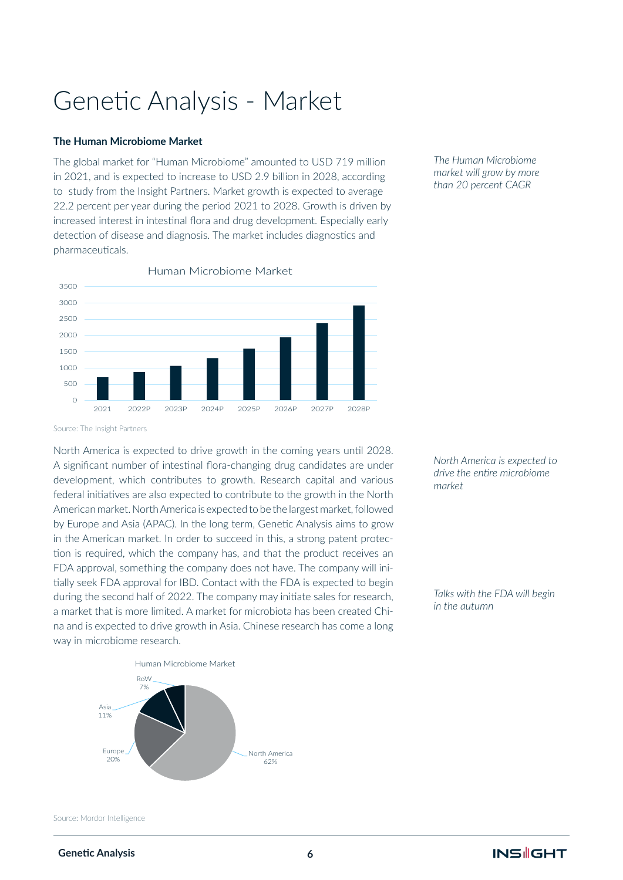### Genetic Analysis - Market

#### **The Human Microbiome Market**

The global market for "Human Microbiome" amounted to USD 719 million in 2021, and is expected to increase to USD 2.9 billion in 2028, according to study from the Insight Partners. Market growth is expected to average 22.2 percent per year during the period 2021 to 2028. Growth is driven by increased interest in intestinal flora and drug development. Especially early detection of disease and diagnosis. The market includes diagnostics and pharmaceuticals.

*The Human Microbiome market will grow by more than 20 percent CAGR*



Source: The Insight Partners

North America is expected to drive growth in the coming years until 2028. A significant number of intestinal flora-changing drug candidates are under development, which contributes to growth. Research capital and various federal initiatives are also expected to contribute to the growth in the North American market. North America is expected to be the largest market, followed by Europe and Asia (APAC). In the long term, Genetic Analysis aims to grow in the American market. In order to succeed in this, a strong patent protection is required, which the company has, and that the product receives an FDA approval, something the company does not have. The company will initially seek FDA approval for IBD. Contact with the FDA is expected to begin during the second half of 2022. The company may initiate sales for research, a market that is more limited. A market for microbiota has been created China and is expected to drive growth in Asia. Chinese research has come a long way in microbiome research.



*North America is expected to drive the entire microbiome market*

*Talks with the FDA will begin in the autumn*

Source: Mordor Intelligence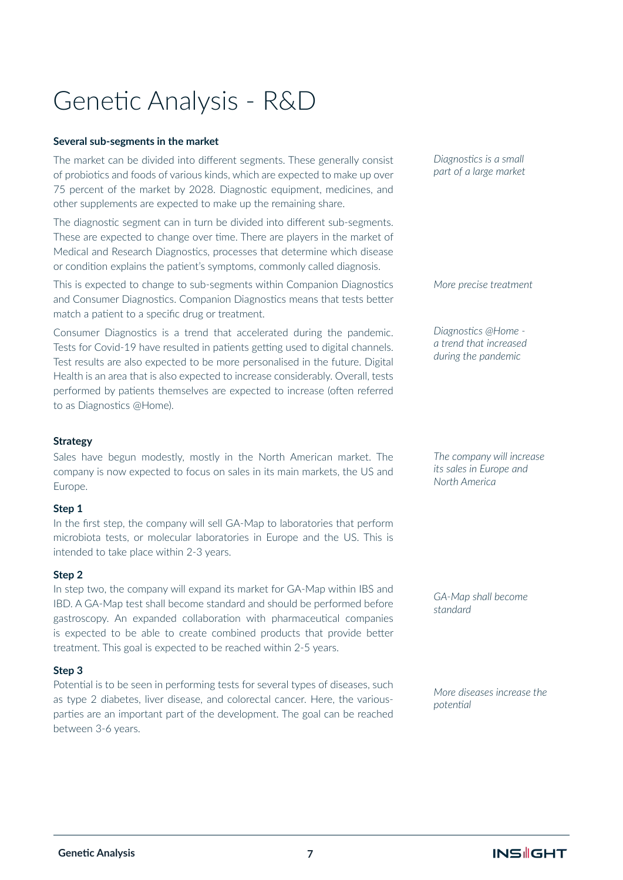# Genetic Analysis - R&D

### **Several sub-segments in the market**

The market can be divided into different segments. These generally consist of probiotics and foods of various kinds, which are expected to make up over 75 percent of the market by 2028. Diagnostic equipment, medicines, and other supplements are expected to make up the remaining share.

The diagnostic segment can in turn be divided into different sub-segments. These are expected to change over time. There are players in the market of Medical and Research Diagnostics, processes that determine which disease or condition explains the patient's symptoms, commonly called diagnosis.

This is expected to change to sub-segments within Companion Diagnostics and Consumer Diagnostics. Companion Diagnostics means that tests better match a patient to a specific drug or treatment.

Consumer Diagnostics is a trend that accelerated during the pandemic. Tests for Covid-19 have resulted in patients getting used to digital channels. Test results are also expected to be more personalised in the future. Digital Health is an area that is also expected to increase considerably. Overall, tests performed by patients themselves are expected to increase (often referred to as Diagnostics @Home).

#### **Strategy**

Sales have begun modestly, mostly in the North American market. The company is now expected to focus on sales in its main markets, the US and Europe.

### **Step 1**

In the first step, the company will sell GA-Map to laboratories that perform microbiota tests, or molecular laboratories in Europe and the US. This is intended to take place within 2-3 years.

### **Step 2**

In step two, the company will expand its market for GA-Map within IBS and IBD. A GA-Map test shall become standard and should be performed before gastroscopy. An expanded collaboration with pharmaceutical companies is expected to be able to create combined products that provide better treatment. This goal is expected to be reached within 2-5 years.

### **Step 3**

Potential is to be seen in performing tests for several types of diseases, such as type 2 diabetes, liver disease, and colorectal cancer. Here, the variousparties are an important part of the development. The goal can be reached between 3-6 years.

*Diagnostics is a small part of a large market*

*More precise treatment* 

*Diagnostics @Home a trend that increased during the pandemic*

*The company will increase its sales in Europe and North America* 

*GA-Map shall become standard*

*More diseases increase the potential*

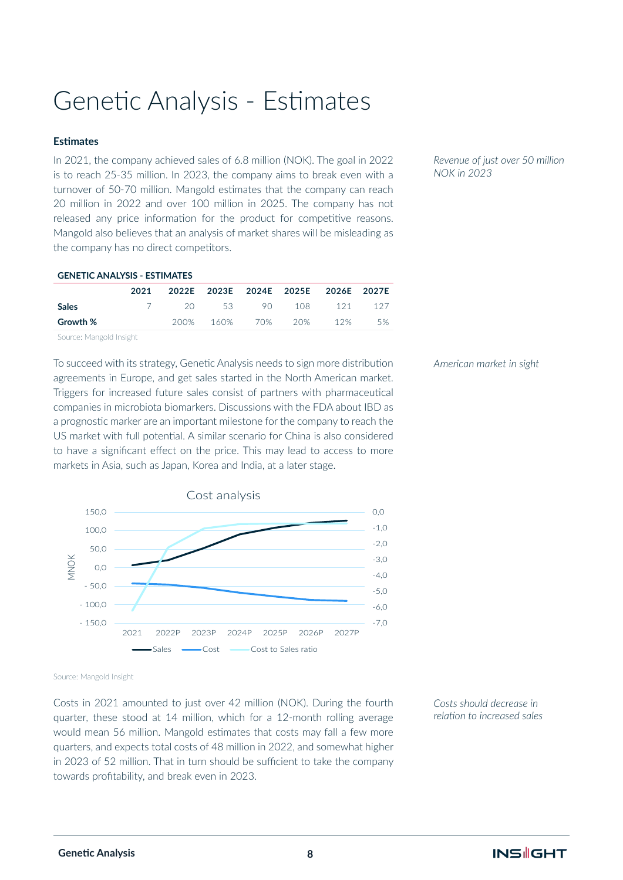### Genetic Analysis - Estimates

### **Estimates**

In 2021, the company achieved sales of 6.8 million (NOK). The goal in 2022 is to reach 25-35 million. In 2023, the company aims to break even with a turnover of 50-70 million. Mangold estimates that the company can reach 20 million in 2022 and over 100 million in 2025. The company has not released any price information for the product for competitive reasons. Mangold also believes that an analysis of market shares will be misleading as the company has no direct competitors.

*Revenue of just over 50 million NOK in 2023*

### **GENETIC ANALYSIS - ESTIMATES 2021 2022E 2023E 2024E 2025E 2026E 2027E**

|              | ---- | ------                 | ----- | ---- | ------                   | ----- | ----- |
|--------------|------|------------------------|-------|------|--------------------------|-------|-------|
| <b>Sales</b> |      | 7 20 53 90 108 121 127 |       |      |                          |       |       |
| Growth %     |      |                        |       |      | 200% 160% 70% 20% 12% 5% |       |       |

Source: Mangold Insight

To succeed with its strategy, Genetic Analysis needs to sign more distribution agreements in Europe, and get sales started in the North American market. Triggers for increased future sales consist of partners with pharmaceutical companies in microbiota biomarkers. Discussions with the FDA about IBD as a prognostic marker are an important milestone for the company to reach the US market with full potential. A similar scenario for China is also considered to have a significant effect on the price. This may lead to access to more markets in Asia, such as Japan, Korea and India, at a later stage.



*American market in sight*

Source: Mangold Insight

Costs in 2021 amounted to just over 42 million (NOK). During the fourth quarter, these stood at 14 million, which for a 12-month rolling average would mean 56 million. Mangold estimates that costs may fall a few more quarters, and expects total costs of 48 million in 2022, and somewhat higher in 2023 of 52 million. That in turn should be sufficient to take the company towards profitability, and break even in 2023.

*Costs should decrease in relation to increased sales*

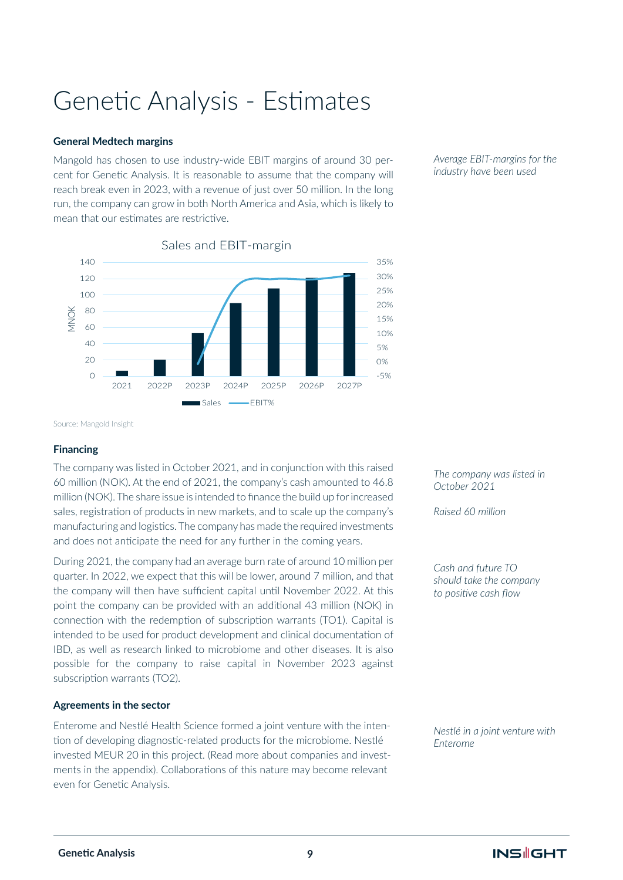### Genetic Analysis - Estimates

### **General Medtech margins**

Mangold has chosen to use industry-wide EBIT margins of around 30 percent for Genetic Analysis. It is reasonable to assume that the company will reach break even in 2023, with a revenue of just over 50 million. In the long run, the company can grow in both North America and Asia, which is likely to mean that our estimates are restrictive.



*Average EBIT-margins for the industry have been used*

Source: Mangold Insight

#### **Financing**

The company was listed in October 2021, and in conjunction with this raised 60 million (NOK). At the end of 2021, the company's cash amounted to 46.8 million (NOK). The share issue is intended to finance the build up for increased sales, registration of products in new markets, and to scale up the company's manufacturing and logistics. The company has made the required investments and does not anticipate the need for any further in the coming years.

During 2021, the company had an average burn rate of around 10 million per quarter. In 2022, we expect that this will be lower, around 7 million, and that the company will then have sufficient capital until November 2022. At this point the company can be provided with an additional 43 million (NOK) in connection with the redemption of subscription warrants (TO1). Capital is intended to be used for product development and clinical documentation of IBD, as well as research linked to microbiome and other diseases. It is also possible for the company to raise capital in November 2023 against subscription warrants (TO2).

### **Agreements in the sector**

Enterome and Nestlé Health Science formed a joint venture with the intention of developing diagnostic-related products for the microbiome. Nestlé invested MEUR 20 in this project. (Read more about companies and investments in the appendix). Collaborations of this nature may become relevant even for Genetic Analysis.

*The company was listed in October 2021*

*Raised 60 million*

*Cash and future TO should take the company to positive cash flow*

*Nestlé in a joint venture with Enterome*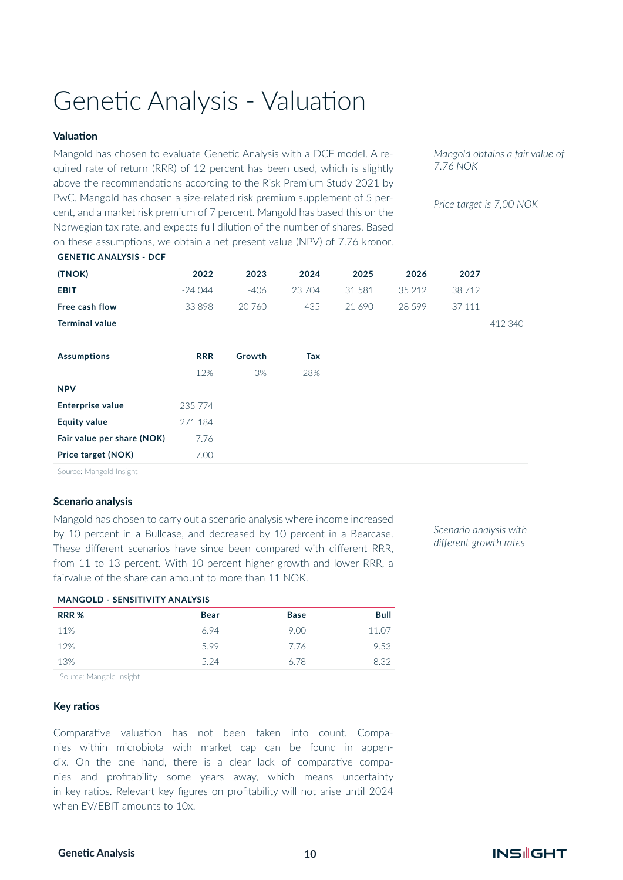### Genetic Analysis - Valuation

### **Valuation**

Mangold has chosen to evaluate Genetic Analysis with a DCF model. A required rate of return (RRR) of 12 percent has been used, which is slightly above the recommendations according to the Risk Premium Study 2021 by PwC. Mangold has chosen a size-related risk premium supplement of 5 percent, and a market risk premium of 7 percent. Mangold has based this on the Norwegian tax rate, and expects full dilution of the number of shares. Based on these assumptions, we obtain a net present value (NPV) of 7.76 kronor. *Mangold obtains a fair value of 7.76 NOK*

*Price target is 7,00 NOK*

| 2022       | 2023          | 2024   | 2025   | 2026     | 2027   |         |
|------------|---------------|--------|--------|----------|--------|---------|
| $-24044$   | $-406$        | 23 704 | 31 581 | 35 212   | 38712  |         |
| $-33898$   | $-20,760$     | -435   | 21 690 | 28 5 9 9 | 37 111 |         |
|            |               |        |        |          |        | 412 340 |
|            |               |        |        |          |        |         |
| <b>RRR</b> | <b>Growth</b> | Tax    |        |          |        |         |
| 12%        | 3%            | 28%    |        |          |        |         |
|            |               |        |        |          |        |         |
| 235 774    |               |        |        |          |        |         |
| 271 184    |               |        |        |          |        |         |
| 7.76       |               |        |        |          |        |         |
| 7.00       |               |        |        |          |        |         |
|            |               |        |        |          |        |         |

Source: Mangold Insight

#### **Scenario analysis**

Mangold has chosen to carry out a scenario analysis where income increased by 10 percent in a Bullcase, and decreased by 10 percent in a Bearcase. These different scenarios have since been compared with different RRR, from 11 to 13 percent. With 10 percent higher growth and lower RRR, a fairvalue of the share can amount to more than 11 NOK.

#### *Scenario analysis with different growth rates*

#### **MANGOLD - SENSITIVITY ANALYSIS**

| RRR <sup>%</sup> | <b>Bear</b> | <b>Base</b> | <b>Bull</b> |
|------------------|-------------|-------------|-------------|
| 11%              | 6.94        | 9.00        | 11.07       |
| 12%              | 5.99        | 7.76        | 9.53        |
| 13%              | 5.24        | 6.78        | 8.32        |

Source: Mangold Insight

#### **Key ratios**

Comparative valuation has not been taken into count. Companies within microbiota with market cap can be found in appendix. On the one hand, there is a clear lack of comparative companies and profitability some years away, which means uncertainty in key ratios. Relevant key figures on profitability will not arise until 2024 when EV/EBIT amounts to 10x.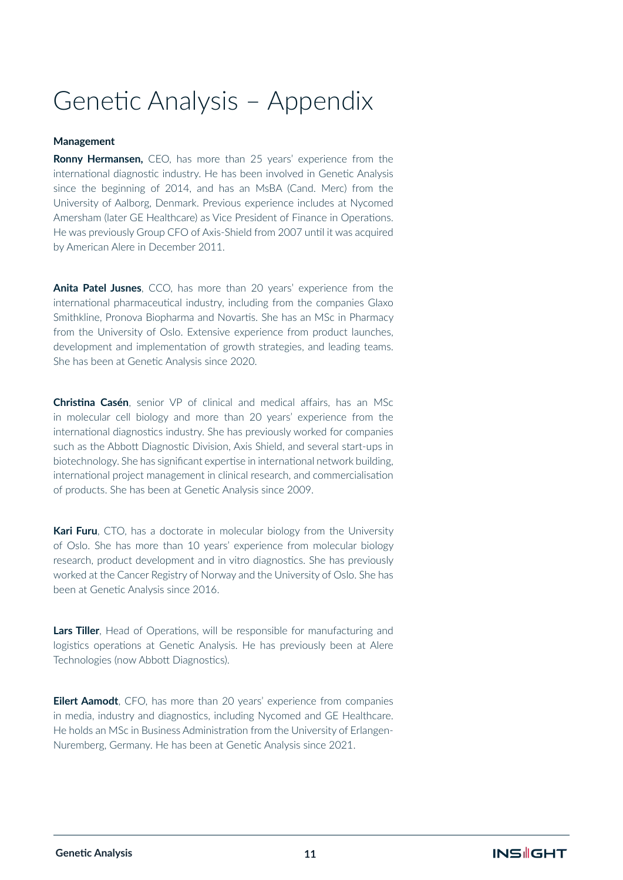### **Management**

**Ronny Hermansen,** CEO, has more than 25 years' experience from the international diagnostic industry. He has been involved in Genetic Analysis since the beginning of 2014, and has an MsBA (Cand. Merc) from the University of Aalborg, Denmark. Previous experience includes at Nycomed Amersham (later GE Healthcare) as Vice President of Finance in Operations. He was previously Group CFO of Axis-Shield from 2007 until it was acquired by American Alere in December 2011.

**Anita Patel Jusnes**, CCO, has more than 20 years' experience from the international pharmaceutical industry, including from the companies Glaxo Smithkline, Pronova Biopharma and Novartis. She has an MSc in Pharmacy from the University of Oslo. Extensive experience from product launches, development and implementation of growth strategies, and leading teams. She has been at Genetic Analysis since 2020.

**Christina Casén**, senior VP of clinical and medical affairs, has an MSc in molecular cell biology and more than 20 years' experience from the international diagnostics industry. She has previously worked for companies such as the Abbott Diagnostic Division, Axis Shield, and several start-ups in biotechnology. She has significant expertise in international network building, international project management in clinical research, and commercialisation of products. She has been at Genetic Analysis since 2009.

**Kari Furu**, CTO, has a doctorate in molecular biology from the University of Oslo. She has more than 10 years' experience from molecular biology research, product development and in vitro diagnostics. She has previously worked at the Cancer Registry of Norway and the University of Oslo. She has been at Genetic Analysis since 2016.

**Lars Tiller**, Head of Operations, will be responsible for manufacturing and logistics operations at Genetic Analysis. He has previously been at Alere Technologies (now Abbott Diagnostics).

**Eilert Aamodt**, CFO, has more than 20 years' experience from companies in media, industry and diagnostics, including Nycomed and GE Healthcare. He holds an MSc in Business Administration from the University of Erlangen-Nuremberg, Germany. He has been at Genetic Analysis since 2021.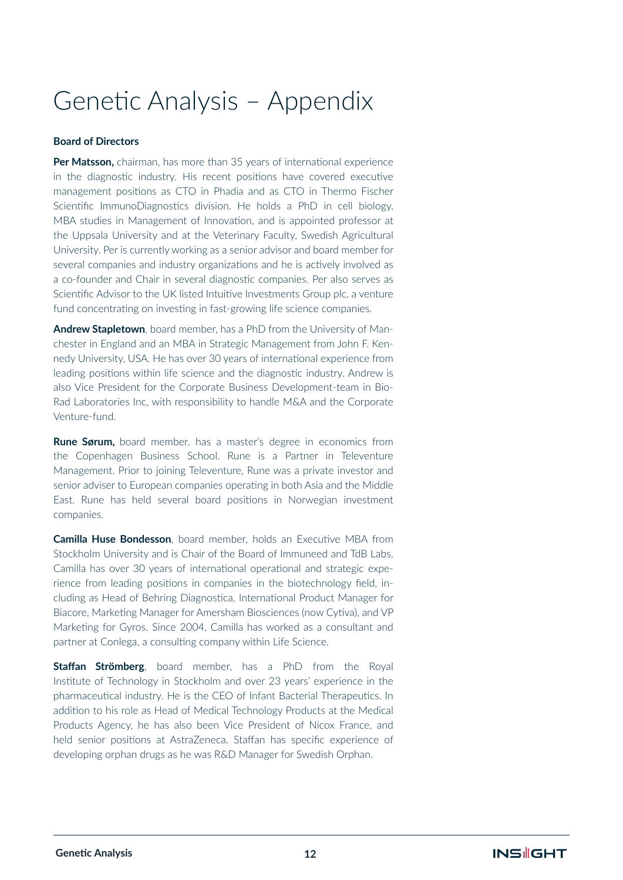### **Board of Directors**

Per Matsson, chairman, has more than 35 years of international experience in the diagnostic industry. His recent positions have covered executive management positions as CTO in Phadia and as CTO in Thermo Fischer Scientific ImmunoDiagnostics division. He holds a PhD in cell biology, MBA studies in Management of Innovation, and is appointed professor at the Uppsala University and at the Veterinary Faculty, Swedish Agricultural University. Per is currently working as a senior advisor and board member for several companies and industry organizations and he is actively involved as a co-founder and Chair in several diagnostic companies. Per also serves as Scientific Advisor to the UK listed Intuitive Investments Group plc, a venture fund concentrating on investing in fast-growing life science companies.

**Andrew Stapletown**, board member, has a PhD from the University of Manchester in England and an MBA in Strategic Management from John F. Kennedy University, USA. He has over 30 years of international experience from leading positions within life science and the diagnostic industry. Andrew is also Vice President for the Corporate Business Development-team in Bio-Rad Laboratories Inc, with responsibility to handle M&A and the Corporate Venture-fund.

**Rune Sørum,** board member. has a master's degree in economics from the Copenhagen Business School. Rune is a Partner in Televenture Management. Prior to joining Televenture, Rune was a private investor and senior adviser to European companies operating in both Asia and the Middle East. Rune has held several board positions in Norwegian investment companies.

**Camilla Huse Bondesson**, board member, holds an Executive MBA from Stockholm University and is Chair of the Board of Immuneed and TdB Labs. Camilla has over 30 years of international operational and strategic experience from leading positions in companies in the biotechnology field, including as Head of Behring Diagnostica, International Product Manager for Biacore, Marketing Manager for Amersham Biosciences (now Cytiva), and VP Marketing for Gyros. Since 2004, Camilla has worked as a consultant and partner at Conlega, a consulting company within Life Science.

**Staffan Strömberg**, board member, has a PhD from the Royal Institute of Technology in Stockholm and over 23 years' experience in the pharmaceutical industry. He is the CEO of Infant Bacterial Therapeutics. In addition to his role as Head of Medical Technology Products at the Medical Products Agency, he has also been Vice President of Nicox France, and held senior positions at AstraZeneca. Staffan has specific experience of developing orphan drugs as he was R&D Manager for Swedish Orphan.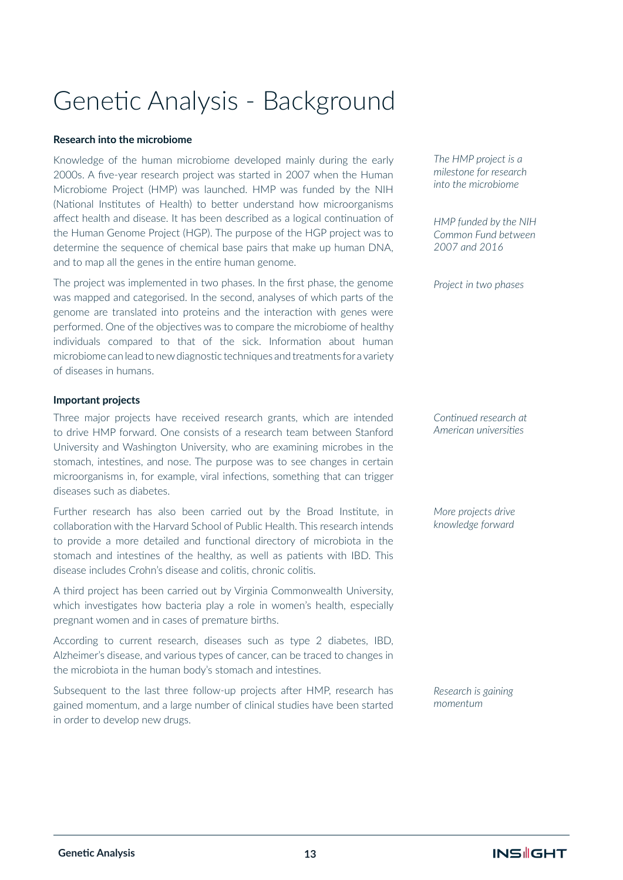### Genetic Analysis - Background

#### **Research into the microbiome**

Knowledge of the human microbiome developed mainly during the early 2000s. A five-year research project was started in 2007 when the Human Microbiome Project (HMP) was launched. HMP was funded by the NIH (National Institutes of Health) to better understand how microorganisms affect health and disease. It has been described as a logical continuation of the Human Genome Project (HGP). The purpose of the HGP project was to determine the sequence of chemical base pairs that make up human DNA, and to map all the genes in the entire human genome.

The project was implemented in two phases. In the first phase, the genome was mapped and categorised. In the second, analyses of which parts of the genome are translated into proteins and the interaction with genes were performed. One of the objectives was to compare the microbiome of healthy individuals compared to that of the sick. Information about human microbiome can lead to new diagnostic techniques and treatments for a variety of diseases in humans.

#### **Important projects**

Three major projects have received research grants, which are intended to drive HMP forward. One consists of a research team between Stanford University and Washington University, who are examining microbes in the stomach, intestines, and nose. The purpose was to see changes in certain microorganisms in, for example, viral infections, something that can trigger diseases such as diabetes.

Further research has also been carried out by the Broad Institute, in collaboration with the Harvard School of Public Health. This research intends to provide a more detailed and functional directory of microbiota in the stomach and intestines of the healthy, as well as patients with IBD. This disease includes Crohn's disease and colitis, chronic colitis.

A third project has been carried out by Virginia Commonwealth University, which investigates how bacteria play a role in women's health, especially pregnant women and in cases of premature births.

According to current research, diseases such as type 2 diabetes, IBD, Alzheimer's disease, and various types of cancer, can be traced to changes in the microbiota in the human body's stomach and intestines.

Subsequent to the last three follow-up projects after HMP, research has gained momentum, and a large number of clinical studies have been started in order to develop new drugs.

*The HMP project is a milestone for research into the microbiome*

*HMP funded by the NIH Common Fund between 2007 and 2016*

*Project in two phases* 

*Continued research at American universities*

*More projects drive knowledge forward*

*Research is gaining momentum*

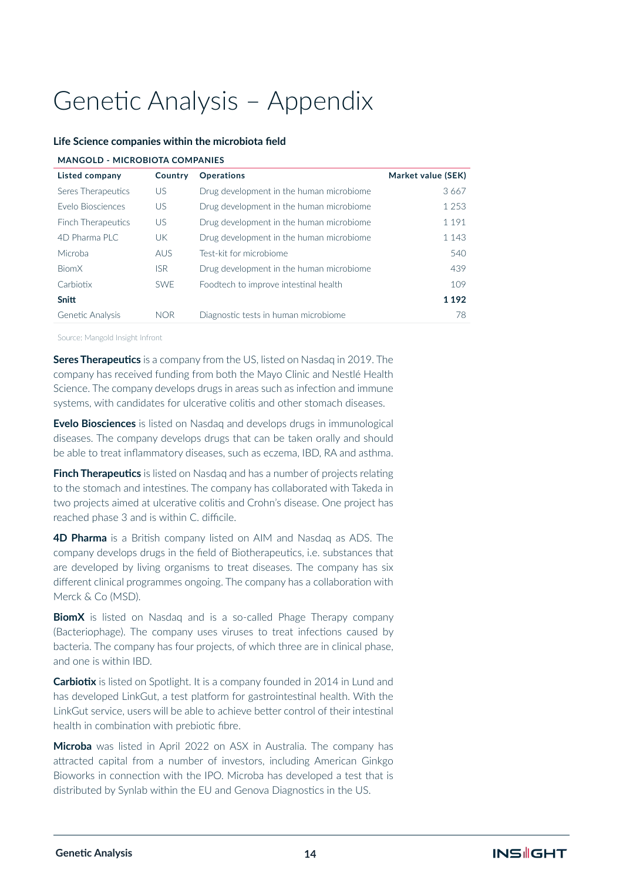### **Life Science companies within the microbiota field**

| Country    | <b>Operations</b>                        | Market value (SEK) |
|------------|------------------------------------------|--------------------|
| US         | Drug development in the human microbiome | 3667               |
| US.        | Drug development in the human microbiome | 1 2 5 3            |
| US         | Drug development in the human microbiome | 1 1 9 1            |
| <b>UK</b>  | Drug development in the human microbiome | 1 1 4 3            |
| <b>AUS</b> | Test-kit for microbiome                  | 540                |
| <b>ISR</b> | Drug development in the human microbiome | 439                |
| <b>SWF</b> | Foodtech to improve intestinal health    | 109                |
|            |                                          | 1 1 9 2            |
| <b>NOR</b> | Diagnostic tests in human microbiome     | 78                 |
|            |                                          |                    |

#### **MANGOLD - MICROBIOTA COMPANIES**

Source: Mangold Insight Infront

**Seres Therapeutics** is a company from the US, listed on Nasdaq in 2019. The company has received funding from both the Mayo Clinic and Nestlé Health Science. The company develops drugs in areas such as infection and immune systems, with candidates for ulcerative colitis and other stomach diseases.

**Evelo Biosciences** is listed on Nasdaq and develops drugs in immunological diseases. The company develops drugs that can be taken orally and should be able to treat inflammatory diseases, such as eczema, IBD, RA and asthma.

**Finch Therapeutics** is listed on Nasdaq and has a number of projects relating to the stomach and intestines. The company has collaborated with Takeda in two projects aimed at ulcerative colitis and Crohn's disease. One project has reached phase 3 and is within C. difficile.

**4D Pharma** is a British company listed on AIM and Nasdaq as ADS. The company develops drugs in the field of Biotherapeutics, i.e. substances that are developed by living organisms to treat diseases. The company has six different clinical programmes ongoing. The company has a collaboration with Merck & Co (MSD).

**BiomX** is listed on Nasdaq and is a so-called Phage Therapy company (Bacteriophage). The company uses viruses to treat infections caused by bacteria. The company has four projects, of which three are in clinical phase, and one is within IBD.

**Carbiotix** is listed on Spotlight. It is a company founded in 2014 in Lund and has developed LinkGut, a test platform for gastrointestinal health. With the LinkGut service, users will be able to achieve better control of their intestinal health in combination with prebiotic fibre.

**Microba** was listed in April 2022 on ASX in Australia. The company has attracted capital from a number of investors, including American Ginkgo Bioworks in connection with the IPO. Microba has developed a test that is distributed by Synlab within the EU and Genova Diagnostics in the US.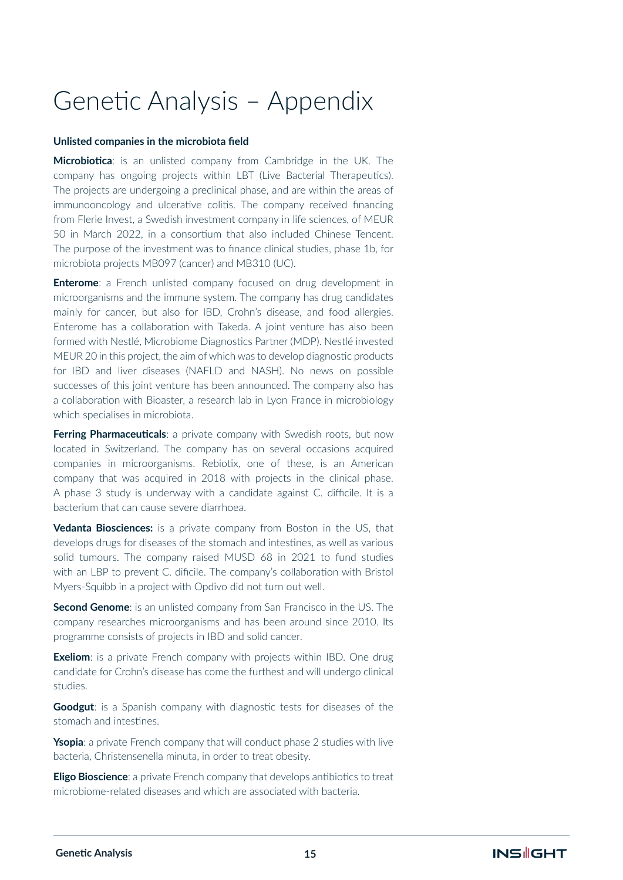### **Unlisted companies in the microbiota field**

**Microbiotica**: is an unlisted company from Cambridge in the UK. The company has ongoing projects within LBT (Live Bacterial Therapeutics). The projects are undergoing a preclinical phase, and are within the areas of immunooncology and ulcerative colitis. The company received financing from Flerie Invest, a Swedish investment company in life sciences, of MEUR 50 in March 2022, in a consortium that also included Chinese Tencent. The purpose of the investment was to finance clinical studies, phase 1b, for microbiota projects MB097 (cancer) and MB310 (UC).

**Enterome**: a French unlisted company focused on drug development in microorganisms and the immune system. The company has drug candidates mainly for cancer, but also for IBD, Crohn's disease, and food allergies. Enterome has a collaboration with Takeda. A joint venture has also been formed with Nestlé, Microbiome Diagnostics Partner (MDP). Nestlé invested MEUR 20 in this project, the aim of which was to develop diagnostic products for IBD and liver diseases (NAFLD and NASH). No news on possible successes of this joint venture has been announced. The company also has a collaboration with Bioaster, a research lab in Lyon France in microbiology which specialises in microbiota.

**Ferring Pharmaceuticals**: a private company with Swedish roots, but now located in Switzerland. The company has on several occasions acquired companies in microorganisms. Rebiotix, one of these, is an American company that was acquired in 2018 with projects in the clinical phase. A phase 3 study is underway with a candidate against C. difficile. It is a bacterium that can cause severe diarrhoea.

**Vedanta Biosciences:** is a private company from Boston in the US, that develops drugs for diseases of the stomach and intestines, as well as various solid tumours. The company raised MUSD 68 in 2021 to fund studies with an LBP to prevent C. dificile. The company's collaboration with Bristol Myers-Squibb in a project with Opdivo did not turn out well.

**Second Genome:** is an unlisted company from San Francisco in the US. The company researches microorganisms and has been around since 2010. Its programme consists of projects in IBD and solid cancer.

**Exeliom**: is a private French company with projects within IBD. One drug candidate for Crohn's disease has come the furthest and will undergo clinical studies.

**Goodgut:** is a Spanish company with diagnostic tests for diseases of the stomach and intestines.

**Ysopia**: a private French company that will conduct phase 2 studies with live bacteria, Christensenella minuta, in order to treat obesity.

**Eligo Bioscience**: a private French company that develops antibiotics to treat microbiome-related diseases and which are associated with bacteria.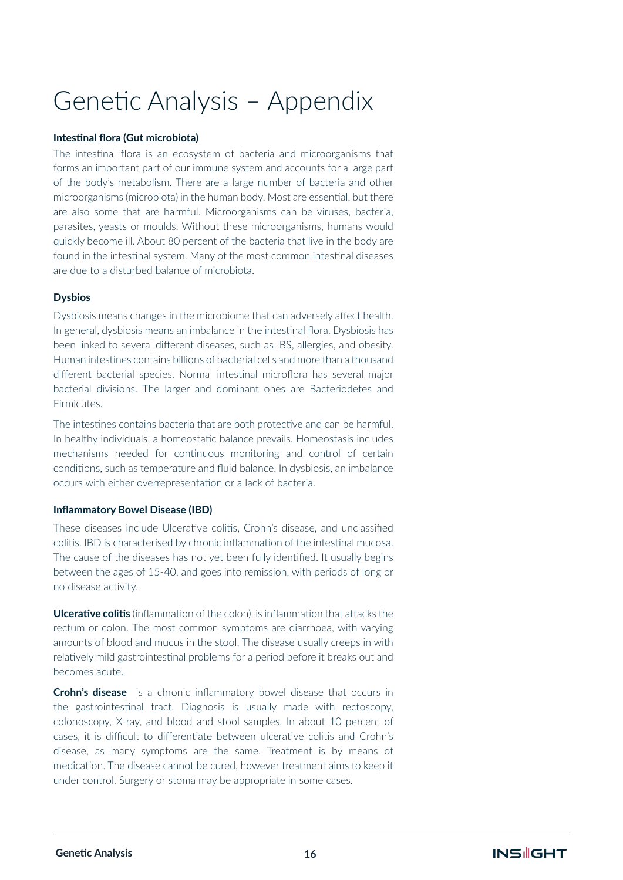### **Intestinal flora (Gut microbiota)**

The intestinal flora is an ecosystem of bacteria and microorganisms that forms an important part of our immune system and accounts for a large part of the body's metabolism. There are a large number of bacteria and other microorganisms (microbiota) in the human body. Most are essential, but there are also some that are harmful. Microorganisms can be viruses, bacteria, parasites, yeasts or moulds. Without these microorganisms, humans would quickly become ill. About 80 percent of the bacteria that live in the body are found in the intestinal system. Many of the most common intestinal diseases are due to a disturbed balance of microbiota.

### **Dysbios**

Dysbiosis means changes in the microbiome that can adversely affect health. In general, dysbiosis means an imbalance in the intestinal flora. Dysbiosis has been linked to several different diseases, such as IBS, allergies, and obesity. Human intestines contains billions of bacterial cells and more than a thousand different bacterial species. Normal intestinal microflora has several major bacterial divisions. The larger and dominant ones are Bacteriodetes and Firmicutes.

The intestines contains bacteria that are both protective and can be harmful. In healthy individuals, a homeostatic balance prevails. Homeostasis includes mechanisms needed for continuous monitoring and control of certain conditions, such as temperature and fluid balance. In dysbiosis, an imbalance occurs with either overrepresentation or a lack of bacteria.

### **Inflammatory Bowel Disease (IBD)**

These diseases include Ulcerative colitis, Crohn's disease, and unclassified colitis. IBD is characterised by chronic inflammation of the intestinal mucosa. The cause of the diseases has not yet been fully identified. It usually begins between the ages of 15-40, and goes into remission, with periods of long or no disease activity.

**Ulcerative colitis** (inflammation of the colon), is inflammation that attacks the rectum or colon. The most common symptoms are diarrhoea, with varying amounts of blood and mucus in the stool. The disease usually creeps in with relatively mild gastrointestinal problems for a period before it breaks out and becomes acute.

**Crohn's disease** is a chronic inflammatory bowel disease that occurs in the gastrointestinal tract. Diagnosis is usually made with rectoscopy, colonoscopy, X-ray, and blood and stool samples. In about 10 percent of cases, it is difficult to differentiate between ulcerative colitis and Crohn's disease, as many symptoms are the same. Treatment is by means of medication. The disease cannot be cured, however treatment aims to keep it under control. Surgery or stoma may be appropriate in some cases.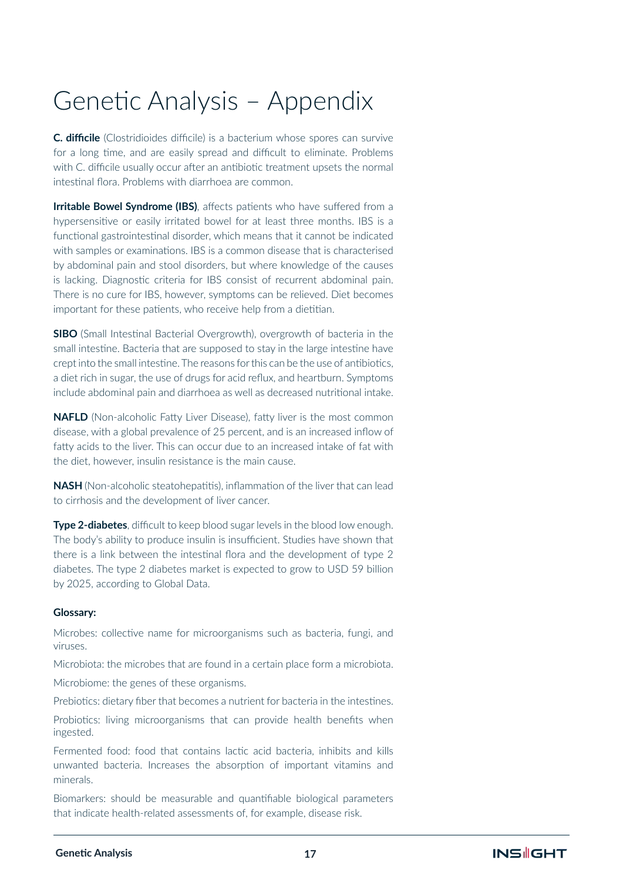**C. difficile** (Clostridioides difficile) is a bacterium whose spores can survive for a long time, and are easily spread and difficult to eliminate. Problems with C. difficile usually occur after an antibiotic treatment upsets the normal intestinal flora. Problems with diarrhoea are common.

**Irritable Bowel Syndrome (IBS)**, affects patients who have suffered from a hypersensitive or easily irritated bowel for at least three months. IBS is a functional gastrointestinal disorder, which means that it cannot be indicated with samples or examinations. IBS is a common disease that is characterised by abdominal pain and stool disorders, but where knowledge of the causes is lacking. Diagnostic criteria for IBS consist of recurrent abdominal pain. There is no cure for IBS, however, symptoms can be relieved. Diet becomes important for these patients, who receive help from a dietitian.

**SIBO** (Small Intestinal Bacterial Overgrowth), overgrowth of bacteria in the small intestine. Bacteria that are supposed to stay in the large intestine have crept into the small intestine. The reasons for this can be the use of antibiotics, a diet rich in sugar, the use of drugs for acid reflux, and heartburn. Symptoms include abdominal pain and diarrhoea as well as decreased nutritional intake.

**NAFLD** (Non-alcoholic Fatty Liver Disease), fatty liver is the most common disease, with a global prevalence of 25 percent, and is an increased inflow of fatty acids to the liver. This can occur due to an increased intake of fat with the diet, however, insulin resistance is the main cause.

**NASH** (Non-alcoholic steatohepatitis), inflammation of the liver that can lead to cirrhosis and the development of liver cancer.

**Type 2-diabetes**, difficult to keep blood sugar levels in the blood low enough. The body's ability to produce insulin is insufficient. Studies have shown that there is a link between the intestinal flora and the development of type 2 diabetes. The type 2 diabetes market is expected to grow to USD 59 billion by 2025, according to Global Data.

### **Glossary:**

Microbes: collective name for microorganisms such as bacteria, fungi, and viruses.

Microbiota: the microbes that are found in a certain place form a microbiota. Microbiome: the genes of these organisms.

Prebiotics: dietary fiber that becomes a nutrient for bacteria in the intestines.

Probiotics: living microorganisms that can provide health benefits when ingested.

Fermented food: food that contains lactic acid bacteria, inhibits and kills unwanted bacteria. Increases the absorption of important vitamins and minerals.

Biomarkers: should be measurable and quantifiable biological parameters that indicate health-related assessments of, for example, disease risk.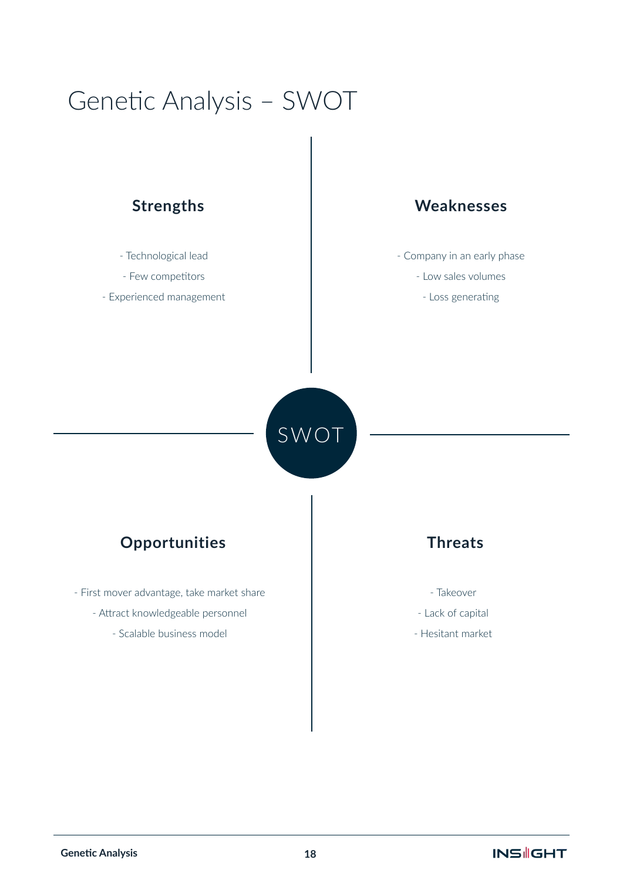### Genetic Analysis – SWOT

- Technological lead
- Few competitors
- Experienced management

### **Strengths Weaknesses**

- Company in an early phase
	- Low sales volumes
		- Loss generating

SWOT

### **Opportunities Threats**

- First mover advantage, take market share
	- Attract knowledgeable personnel
		- Scalable business model

- Takeover
- Lack of capital
- Hesitant market

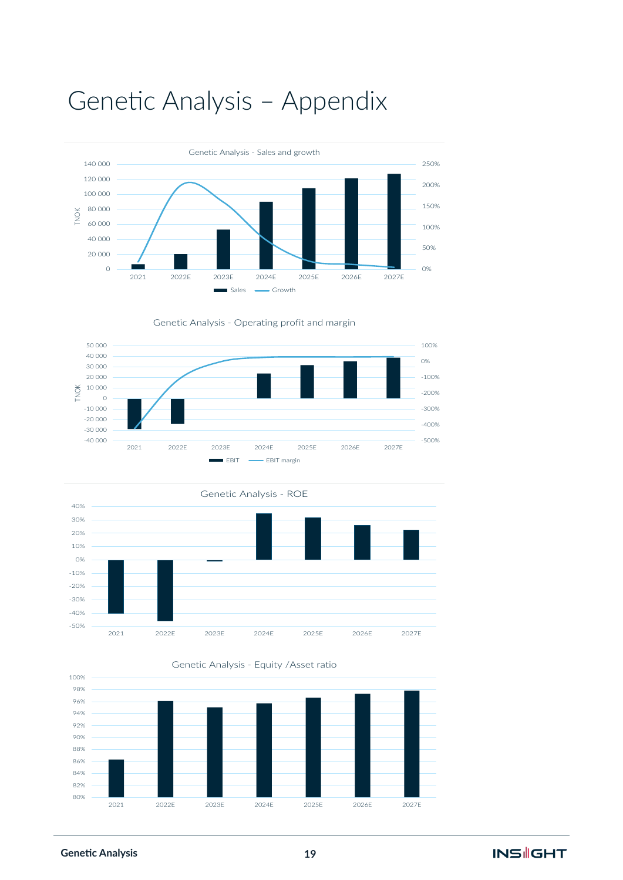

Genetic Analysis - Operating profit and margin







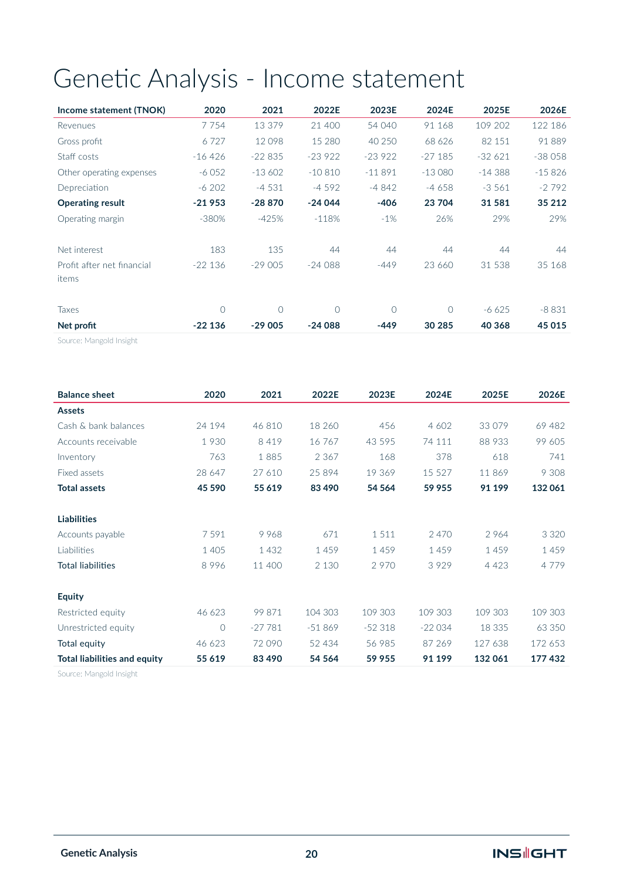### Genetic Analysis - Income statement

| Income statement (TNOK)    | 2020     | 2021       | 2022E    | 2023E     | 2024E     | 2025E    | 2026E    |
|----------------------------|----------|------------|----------|-----------|-----------|----------|----------|
| Revenues                   | 7754     | 13 379     | 21 400   | 54 040    | 91 168    | 109 202  | 122 186  |
| Gross profit               | 6727     | 12098      | 15 280   | 40 250    | 68 626    | 82 151   | 91889    |
| Staff costs                | $-16426$ | $-22835$   | $-23922$ | $-23922$  | $-27185$  | $-32621$ | $-38058$ |
| Other operating expenses   | $-6052$  | $-13602$   | $-10810$ | $-11891$  | $-13080$  | $-14388$ | $-15826$ |
| Depreciation               | $-6202$  | $-4531$    | $-4592$  | $-4842$   | $-4658$   | $-3561$  | $-2792$  |
| <b>Operating result</b>    | $-21953$ | $-28870$   | $-24044$ | $-406$    | 23 704    | 31 581   | 35 212   |
| Operating margin           | $-380%$  | $-425%$    | $-118%$  | $-1%$     | 26%       | 29%      | 29%      |
| Net interest               | 183      | 135        | 44       | 44        | 44        | 44       | 44       |
| Profit after net financial | $-22136$ | $-29005$   | $-24088$ | $-449$    | 23 660    | 31 538   | 35 168   |
| items                      |          |            |          |           |           |          |          |
| Taxes                      | $\Omega$ | $\bigcirc$ | $\Omega$ | $\bigcap$ | $\bigcap$ | $-6625$  | $-8831$  |
| Net profit                 | $-22136$ | $-29005$   | $-24088$ | $-449$    | 30 285    | 40 368   | 45 015   |

Source: Mangold Insight

| <b>Balance sheet</b>                | 2020    | 2021     | 2022E    | 2023E    | 2024E    | 2025E   | 2026E   |
|-------------------------------------|---------|----------|----------|----------|----------|---------|---------|
| Assets                              |         |          |          |          |          |         |         |
| Cash & bank balances                | 24 194  | 46 810   | 18 260   | 456      | 4 6 0 2  | 33 0 79 | 69 482  |
| Accounts receivable                 | 1930    | 8419     | 16767    | 43 5 9 5 | 74 111   | 88 933  | 99 605  |
| Inventory                           | 763     | 1885     | 2 3 6 7  | 168      | 378      | 618     | 741     |
| Fixed assets                        | 28 647  | 27 610   | 25 894   | 19 369   | 15 5 27  | 11869   | 9 3 0 8 |
| <b>Total assets</b>                 | 45 590  | 55 619   | 83490    | 54 564   | 59 955   | 91 199  | 132 061 |
| <b>Liabilities</b>                  |         |          |          |          |          |         |         |
| Accounts payable                    | 7591    | 9968     | 671      | 1511     | 2470     | 2964    | 3 3 2 0 |
| Liabilities                         | 1405    | 1432     | 1459     | 1459     | 1459     | 1459    | 1459    |
| <b>Total liabilities</b>            | 8996    | 11 400   | 2 1 3 0  | 2970     | 3929     | 4 4 2 3 | 4779    |
| <b>Equity</b>                       |         |          |          |          |          |         |         |
| Restricted equity                   | 46 623  | 99 871   | 104 303  | 109 303  | 109 303  | 109 303 | 109 303 |
| Unrestricted equity                 | $\circ$ | $-27781$ | $-51869$ | $-52318$ | $-22034$ | 18 3 35 | 63 350  |
| Total equity                        | 46 623  | 72 090   | 52 434   | 56 985   | 87 269   | 127 638 | 172 653 |
| <b>Total liabilities and equity</b> | 55 619  | 83 490   | 54 564   | 59 955   | 91 199   | 132 061 | 177432  |

Source: Mangold Insight